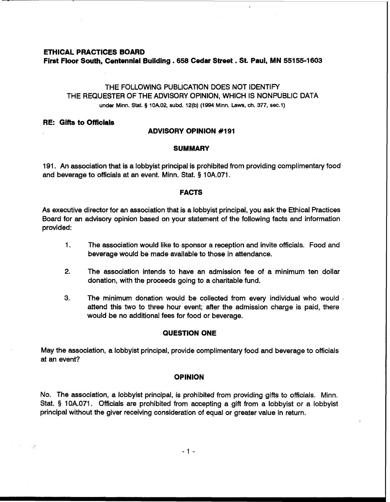# **ETHICAL PRACTICES BOARD**  First Floor South, Centennial Building . 658 Cedar Street . St. Paul, MN 55155-1603

# THE FOLLOWING PUBLICATION DOES NOT IDENTIFY THE REQUESTER OF THE ADVISORY OPINION, WHICH IS NONPUBLIC DATA under Minn. Stat. **5** lOA.02, **subd.** 12(b) (1994 Minn. Laws, ch. 377, **sec.1)**

### **RE: Gifts to Officials**

## **ADVISORY OPINION #I91**

### **SUMMARY**

191. An association that is a lobbyist principal is prohibited from providing complimentary food and beverage to officials at an event. Minn. Stat. § 10A.071.

## **FACTS**

As executive director for an association that is a lobbyist principal, you ask the Ethical Practices Board for an advisory opinion based on your statement of the following facts and information provided:

- 1. The association would like to sponsor a reception and invite officials. Food and beverage would be made available to those in attendance.
- 2. The association intends to have an admission fee of a minimum ten dollar donation, with the proceeds going to a charitable fund.
- **3.** The minimum donation would be collected from every individual who would .<br>attend this two to three hour event; after the admission charge is paid, there would be no additional fees for food or beverage.

## **QUESTION ONE**

May the association, a lobbyist principal, provide complimentary food and beverage to officials at an event?

#### **OPINION**

No. The association, a lobbyist principal, is prohibited from providing gifts to officials. Minn. Stat. § 10A.071. Officials are prohibited from accepting a gift from a lobbyist or a lobbyist principal without the giver receiving consideration of equal or greater value in return.

 $-1 -$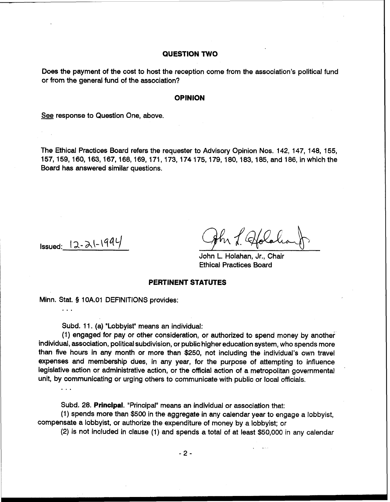### **QUESTION TWO**

Does the payment of the cost to host the reception come from the association's political fund or from the general fund of the association?

### **OPINION**

See response to Question One, above.

The Ethical Practices Board refers the requester to Advisory Opinion Nos. 142, 147, 148, 155, 157, 159, 160, 163, 167, 168, 169, 171, 173, 174 175, 179, 180, 183, 185, and 186, in which the Board has answered similar questions.

 $I$ ssued:  $12 - 2(-1994)$ 

. . .

**a,.** 

John L. Holahan, Jr., Chair Ethical Practices Board

### **PERTINENT STATUTES**

Minn. Stat. § 10A.01 DEFINITIONS provides:

Subd. 11. (a) "Lobbyist" means an individual:

(1) engaged for pay or other consideration, or authorized to spend money by another individual, association, political subdivision, or public higher education system, who spends more than five hours in any month or more than \$250, not including the individual's own travel expenses and membership dues, in any year, for the purpose of attempting to influence legislative action or administrative action, or the official action of a metropolitan governmental unit, by communicating or urging others to communicate with public or local officials.

Subd. 28. Principal. "Principal" means an individual or association that:

(1) spends more than \$500 in the aggregate in any calendar year to engage a lobbyist, compensate a lobbyist, or authorize the expenditure of money by a lobbyist; or

(2) is not included in clause (1) and spends a total of at least \$50,000 in any calendar